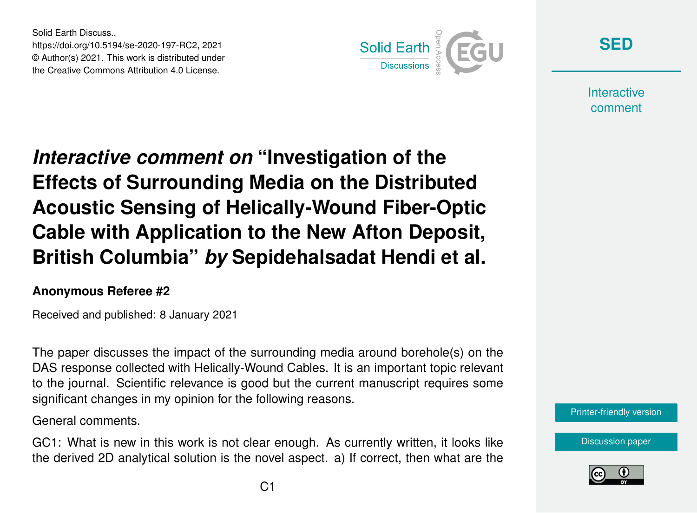Solid Earth Discuss., https://doi.org/10.5194/se-2020-197-RC2, 2021 © Author(s) 2021. This work is distributed under the Creative Commons Attribution 4.0 License.



**[SED](https://se.copernicus.org/preprints/)**

**Interactive** comment

*Interactive comment on* **"Investigation of the Effects of Surrounding Media on the Distributed Acoustic Sensing of Helically-Wound Fiber-Optic Cable with Application to the New Afton Deposit, British Columbia"** *by* **Sepidehalsadat Hendi et al.**

## **Anonymous Referee #2**

Received and published: 8 January 2021

The paper discusses the impact of the surrounding media around borehole(s) on the DAS response collected with Helically-Wound Cables. It is an important topic relevant to the journal. Scientific relevance is good but the current manuscript requires some significant changes in my opinion for the following reasons.

General comments.

GC1: What is new in this work is not clear enough. As currently written, it looks like the derived 2D analytical solution is the novel aspect. a) If correct, then what are the

[Discussion paper](https://se.copernicus.org/preprints/se-2020-197)

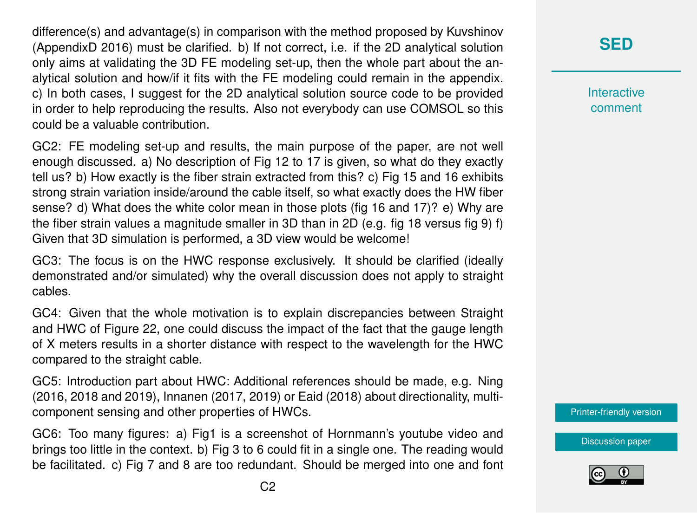difference(s) and advantage(s) in comparison with the method proposed by Kuvshinov (AppendixD 2016) must be clarified. b) If not correct, i.e. if the 2D analytical solution only aims at validating the 3D FE modeling set-up, then the whole part about the analytical solution and how/if it fits with the FE modeling could remain in the appendix. c) In both cases, I suggest for the 2D analytical solution source code to be provided in order to help reproducing the results. Also not everybody can use COMSOL so this could be a valuable contribution.

GC2: FE modeling set-up and results, the main purpose of the paper, are not well enough discussed. a) No description of Fig 12 to 17 is given, so what do they exactly tell us? b) How exactly is the fiber strain extracted from this? c) Fig 15 and 16 exhibits strong strain variation inside/around the cable itself, so what exactly does the HW fiber sense? d) What does the white color mean in those plots (fig 16 and 17)? e) Why are the fiber strain values a magnitude smaller in 3D than in 2D (e.g. fig 18 versus fig 9) f) Given that 3D simulation is performed, a 3D view would be welcome!

GC3: The focus is on the HWC response exclusively. It should be clarified (ideally demonstrated and/or simulated) why the overall discussion does not apply to straight cables.

GC4: Given that the whole motivation is to explain discrepancies between Straight and HWC of Figure 22, one could discuss the impact of the fact that the gauge length of X meters results in a shorter distance with respect to the wavelength for the HWC compared to the straight cable.

GC5: Introduction part about HWC: Additional references should be made, e.g. Ning (2016, 2018 and 2019), Innanen (2017, 2019) or Eaid (2018) about directionality, multicomponent sensing and other properties of HWCs.

GC6: Too many figures: a) Fig1 is a screenshot of Hornmann's youtube video and brings too little in the context. b) Fig 3 to 6 could fit in a single one. The reading would be facilitated. c) Fig 7 and 8 are too redundant. Should be merged into one and font **Interactive** comment

[Printer-friendly version](https://se.copernicus.org/preprints/se-2020-197/se-2020-197-RC2-print.pdf)

[Discussion paper](https://se.copernicus.org/preprints/se-2020-197)